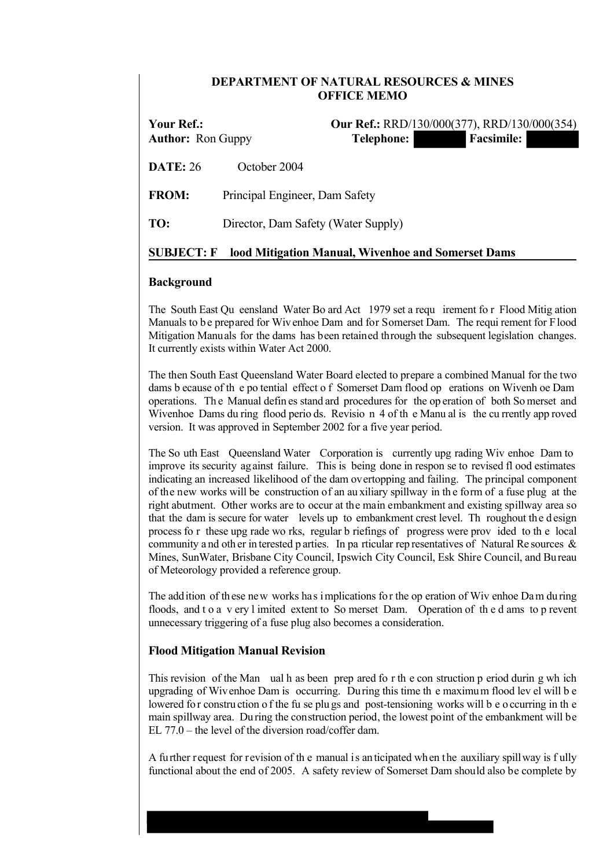# **DEPARTMENT OF NATURAL RESOURCES & MINES OFFICE MEMO**

**Your Ref.: Our Ref.:** RRD/130/000(377), RRD/130/000(354) Author: Ron Guppy **Telephone:** Facsimile:

**DATE:** 26 October 2004

**FROM:** Principal Engineer, Dam Safety

**TO:** Director, Dam Safety (Water Supply)

## **SUBJECT: F lood Mitigation Manual, Wivenhoe and Somerset Dams**

## **Background**

The South East Qu eensland Water Bo ard Act 1979 set a requ irement fo r Flood Mitig ation Manuals to be prepared for Wivenhoe Dam and for Somerset Dam. The requi rement for Flood Mitigation Manuals for the dams has been retained through the subsequent legislation changes. It currently exists within Water Act 2000.

The then South East Queensland Water Board elected to prepare a combined Manual for the two dams b ecause of th e po tential effect o f Somerset Dam flood op erations on Wivenh oe Dam operations. Th e Manual defin es stand ard procedures for the op eration of both So merset and Wivenhoe Dams du ring flood perio ds. Revisio n 4 of the Manu al is the cu rrently app roved version. It was approved in September 2002 for a five year period.

The So uth East Queensland Water Corporation is currently upg rading Wiv enhoe Dam to improve its security against failure. This is being done in respon se to revised fl ood estimates indicating an increased likelihood of the dam overtopping and failing. The principal component of the new works will be construction of an au xiliary spillway in th e form of a fuse plug at the right abutment. Other works are to occur at the main embankment and existing spillway area so that the dam is secure for water levels up to embankment crest level. Th roughout the design process fo r these upg rade wo rks, regular b riefings of progress were prov ided to th e local community a nd oth er in terested p arties. In pa rticular rep resentatives of Natural Re sources  $\&$ Mines, SunWater, Brisbane City Council, Ipswich City Council, Esk Shire Council, and Bureau of Meteorology provided a reference group.

The addition of these new works has implications for the op eration of Wiv enhoe Dam during floods, and t o a v ery l imited extent to So merset Dam. Operation of th e d ams to p revent unnecessary triggering of a fuse plug also becomes a consideration.

### **Flood Mitigation Manual Revision**

This revision of the Man ual h as been prep ared fo r th e con struction p eriod durin g wh ich upgrading of Wivenhoe Dam is occurring. During this time th e maximum flood lev el will b e lowered for construction of the fu se plugs and post-tensioning works will be o ccurring in the main spillway area. During the construction period, the lowest point of the embankment will be EL  $77.0$  – the level of the diversion road/coffer dam.

A further request for revision of th e manual is anticipated when the auxiliary spillway is f ully functional about the end of 2005. A safety review of Somerset Dam should also be complete by